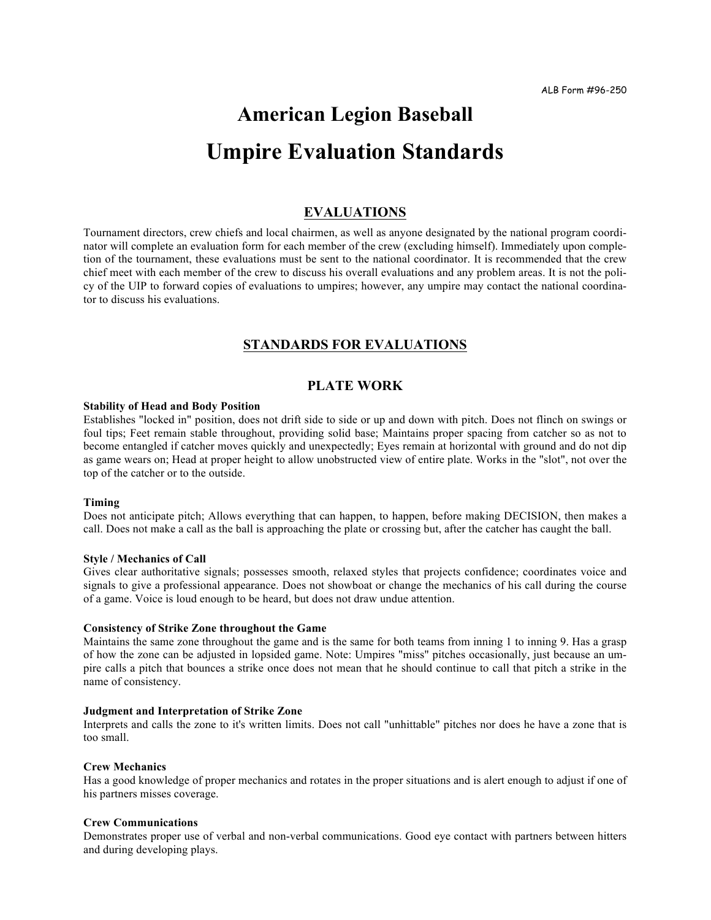# **American Legion Baseball Umpire Evaluation Standards**

# **EVALUATIONS**

Tournament directors, crew chiefs and local chairmen, as well as anyone designated by the national program coordinator will complete an evaluation form for each member of the crew (excluding himself). Immediately upon completion of the tournament, these evaluations must be sent to the national coordinator. It is recommended that the crew chief meet with each member of the crew to discuss his overall evaluations and any problem areas. It is not the policy of the UIP to forward copies of evaluations to umpires; however, any umpire may contact the national coordinator to discuss his evaluations.

# **STANDARDS FOR EVALUATIONS**

# **PLATE WORK**

#### **Stability of Head and Body Position**

Establishes "locked in" position, does not drift side to side or up and down with pitch. Does not flinch on swings or foul tips; Feet remain stable throughout, providing solid base; Maintains proper spacing from catcher so as not to become entangled if catcher moves quickly and unexpectedly; Eyes remain at horizontal with ground and do not dip as game wears on; Head at proper height to allow unobstructed view of entire plate. Works in the "slot", not over the top of the catcher or to the outside.

#### **Timing**

Does not anticipate pitch; Allows everything that can happen, to happen, before making DECISION, then makes a call. Does not make a call as the ball is approaching the plate or crossing but, after the catcher has caught the ball.

#### **Style / Mechanics of Call**

Gives clear authoritative signals; possesses smooth, relaxed styles that projects confidence; coordinates voice and signals to give a professional appearance. Does not showboat or change the mechanics of his call during the course of a game. Voice is loud enough to be heard, but does not draw undue attention.

#### **Consistency of Strike Zone throughout the Game**

Maintains the same zone throughout the game and is the same for both teams from inning 1 to inning 9. Has a grasp of how the zone can be adjusted in lopsided game. Note: Umpires "miss" pitches occasionally, just because an umpire calls a pitch that bounces a strike once does not mean that he should continue to call that pitch a strike in the name of consistency.

#### **Judgment and Interpretation of Strike Zone**

Interprets and calls the zone to it's written limits. Does not call "unhittable" pitches nor does he have a zone that is too small.

#### **Crew Mechanics**

Has a good knowledge of proper mechanics and rotates in the proper situations and is alert enough to adjust if one of his partners misses coverage.

#### **Crew Communications**

Demonstrates proper use of verbal and non-verbal communications. Good eye contact with partners between hitters and during developing plays.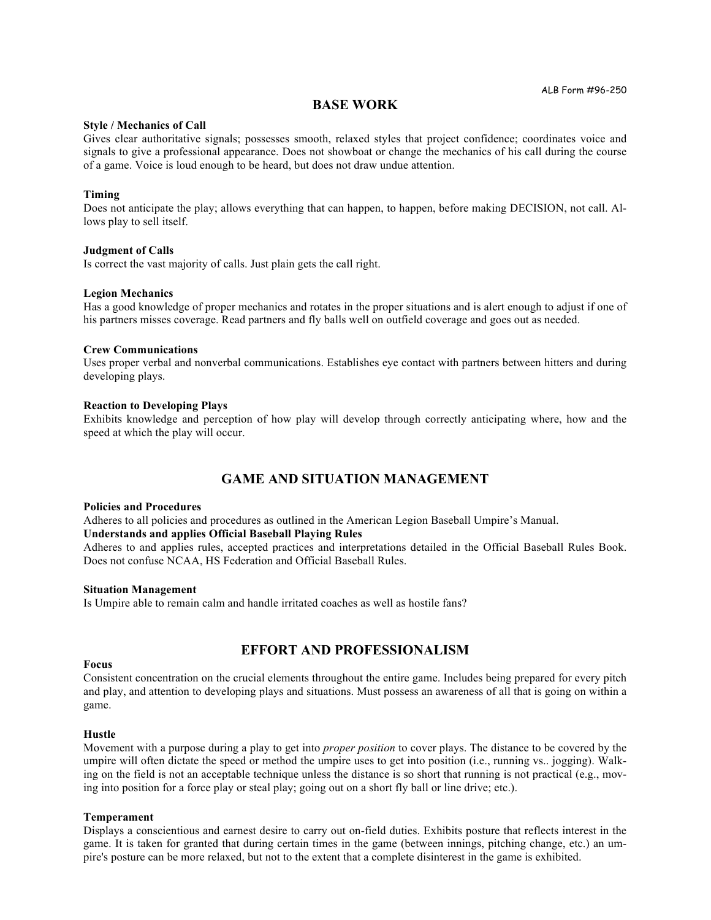# **BASE WORK**

#### **Style / Mechanics of Call**

Gives clear authoritative signals; possesses smooth, relaxed styles that project confidence; coordinates voice and signals to give a professional appearance. Does not showboat or change the mechanics of his call during the course of a game. Voice is loud enough to be heard, but does not draw undue attention.

#### **Timing**

Does not anticipate the play; allows everything that can happen, to happen, before making DECISION, not call. Allows play to sell itself.

#### **Judgment of Calls**

Is correct the vast majority of calls. Just plain gets the call right.

#### **Legion Mechanics**

Has a good knowledge of proper mechanics and rotates in the proper situations and is alert enough to adjust if one of his partners misses coverage. Read partners and fly balls well on outfield coverage and goes out as needed.

#### **Crew Communications**

Uses proper verbal and nonverbal communications. Establishes eye contact with partners between hitters and during developing plays.

#### **Reaction to Developing Plays**

Exhibits knowledge and perception of how play will develop through correctly anticipating where, how and the speed at which the play will occur.

# **GAME AND SITUATION MANAGEMENT**

#### **Policies and Procedures**

Adheres to all policies and procedures as outlined in the American Legion Baseball Umpire's Manual. **Understands and applies Official Baseball Playing Rules**

Adheres to and applies rules, accepted practices and interpretations detailed in the Official Baseball Rules Book. Does not confuse NCAA, HS Federation and Official Baseball Rules.

#### **Situation Management**

Is Umpire able to remain calm and handle irritated coaches as well as hostile fans?

# **EFFORT AND PROFESSIONALISM**

#### **Focus**

Consistent concentration on the crucial elements throughout the entire game. Includes being prepared for every pitch and play, and attention to developing plays and situations. Must possess an awareness of all that is going on within a game.

#### **Hustle**

Movement with a purpose during a play to get into *proper position* to cover plays. The distance to be covered by the umpire will often dictate the speed or method the umpire uses to get into position (i.e., running vs.. jogging). Walking on the field is not an acceptable technique unless the distance is so short that running is not practical (e.g., moving into position for a force play or steal play; going out on a short fly ball or line drive; etc.).

# **Temperament**

Displays a conscientious and earnest desire to carry out on-field duties. Exhibits posture that reflects interest in the game. It is taken for granted that during certain times in the game (between innings, pitching change, etc.) an umpire's posture can be more relaxed, but not to the extent that a complete disinterest in the game is exhibited.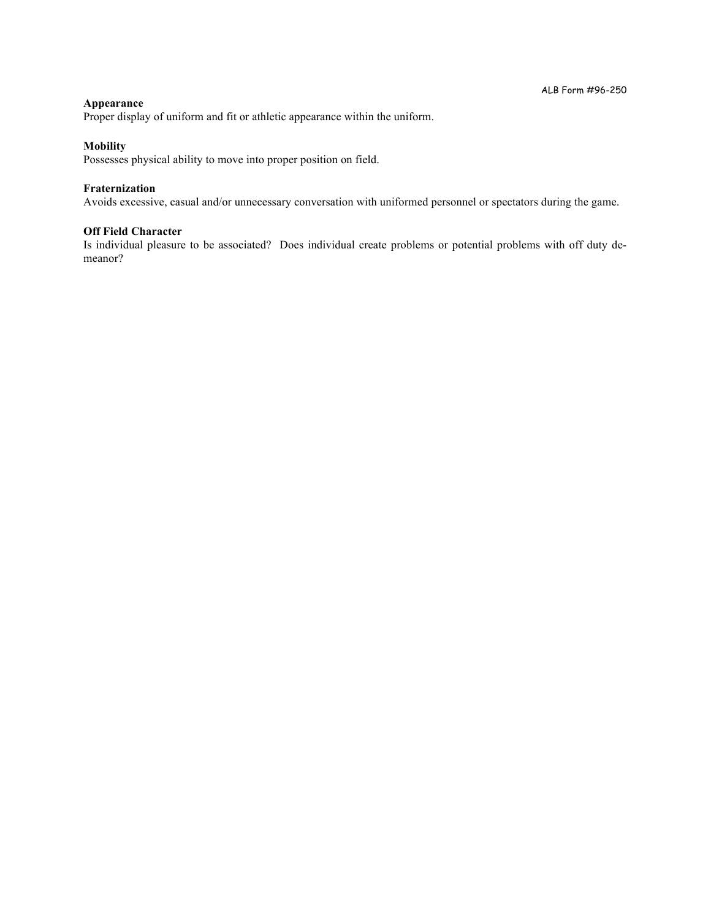# **Appearance**

Proper display of uniform and fit or athletic appearance within the uniform.

#### **Mobility**

Possesses physical ability to move into proper position on field.

# **Fraternization**

Avoids excessive, casual and/or unnecessary conversation with uniformed personnel or spectators during the game.

## **Off Field Character**

Is individual pleasure to be associated? Does individual create problems or potential problems with off duty demeanor?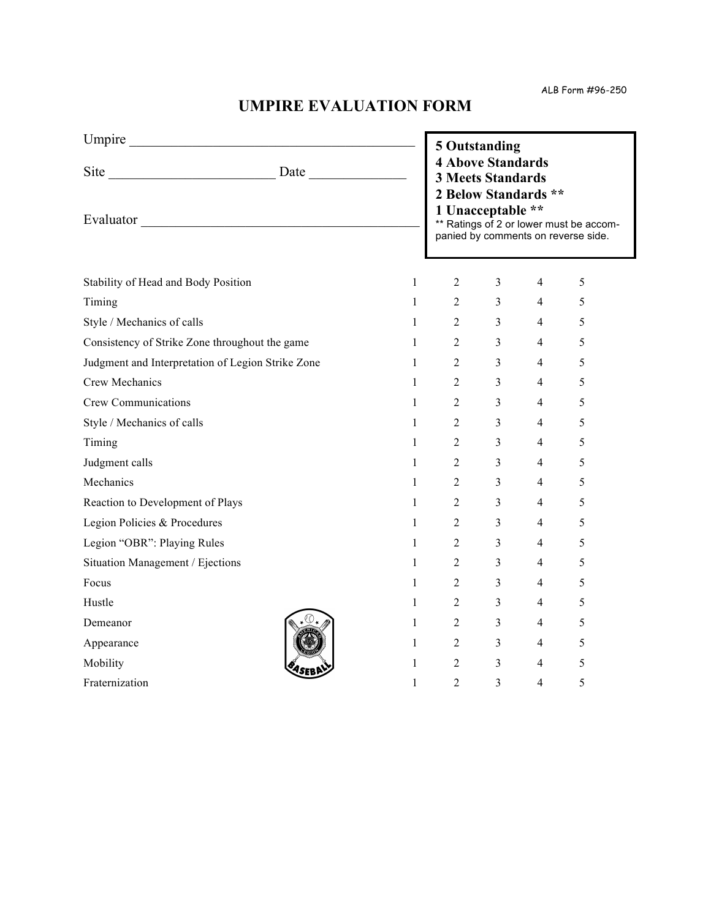ALB Form #96-250

# **UMPIRE EVALUATION FORM**

| Umpire                                                         |                        | 5 Outstanding                                                                                                                                                                       |                |                |   |
|----------------------------------------------------------------|------------------------|-------------------------------------------------------------------------------------------------------------------------------------------------------------------------------------|----------------|----------------|---|
| Evaluator                                                      |                        | <b>4 Above Standards</b><br><b>3 Meets Standards</b><br>2 Below Standards **<br>1 Unacceptable **<br>** Ratings of 2 or lower must be accom-<br>panied by comments on reverse side. |                |                |   |
| Stability of Head and Body Position<br>$\mathbf{1}$            |                        | 2                                                                                                                                                                                   | 3              | $\overline{4}$ | 5 |
| Timing                                                         | $1 \quad \blacksquare$ | $\overline{2}$                                                                                                                                                                      | 3 <sup>7</sup> | $\overline{4}$ | 5 |
| Style / Mechanics of calls<br>$\mathbf{1}$                     |                        | $\overline{2}$                                                                                                                                                                      | 3 <sup>7</sup> | $\overline{4}$ | 5 |
| Consistency of Strike Zone throughout the game<br>$\mathbf{1}$ |                        | $\overline{2}$                                                                                                                                                                      | 3 <sup>1</sup> | 4              | 5 |
| Judgment and Interpretation of Legion Strike Zone              | $1 \quad \Box$         | $\overline{2}$                                                                                                                                                                      | 3 <sup>1</sup> | 4              | 5 |
| Crew Mechanics<br>$\mathbf{1}$                                 |                        | $\overline{2}$                                                                                                                                                                      | 3 <sup>7</sup> | $\overline{4}$ | 5 |
| <b>Crew Communications</b><br>$\mathbf{1}$                     |                        | $\overline{2}$                                                                                                                                                                      | $3^{\circ}$    | 4              | 5 |
| Style / Mechanics of calls                                     | $1 \quad \Box$         | $\overline{2}$                                                                                                                                                                      | 3 <sup>7</sup> | 4              | 5 |
| Timing<br>$\mathbf{1}$                                         |                        | $\overline{2}$                                                                                                                                                                      | 3 <sup>7</sup> | 4              | 5 |
| Judgment calls<br>$\mathbf{1}$                                 |                        | $\overline{2}$                                                                                                                                                                      | 3 <sup>7</sup> | 4              | 5 |
| Mechanics                                                      | $1 \quad \Box$         | $\overline{2}$                                                                                                                                                                      | 3 <sup>7</sup> | 4              | 5 |
| Reaction to Development of Plays<br>$\mathbf{1}$               |                        | $\overline{2}$                                                                                                                                                                      | 3 <sup>7</sup> | $\overline{4}$ | 5 |
| Legion Policies & Procedures<br>$\mathbf{1}$                   |                        | $\overline{2}$                                                                                                                                                                      | 3 <sup>7</sup> | 4              | 5 |
| Legion "OBR": Playing Rules                                    | $1 \quad \blacksquare$ | $\overline{2}$                                                                                                                                                                      | 3 <sup>7</sup> | $\overline{4}$ | 5 |
| Situation Management / Ejections<br>$\mathbf{1}$               |                        | $\overline{2}$                                                                                                                                                                      | 3 <sup>7</sup> | 4              | 5 |
| Focus<br>$\mathbf{1}$                                          |                        | $\overline{2}$                                                                                                                                                                      | 3 <sup>1</sup> | $\overline{4}$ | 5 |
| Hustle                                                         | $1 \qquad \qquad$      | $\overline{2}$                                                                                                                                                                      | 3 <sup>7</sup> | 4              | 5 |
| Demeanor                                                       | $1 \quad \blacksquare$ | $\overline{2}$                                                                                                                                                                      | 3 <sup>7</sup> | 4              | 5 |
| Appearance                                                     | $\mathbf{1}$           | $\overline{2}$                                                                                                                                                                      | 3 <sup>1</sup> | 4              | 5 |
| $\mathbf{1}$<br>Mobility                                       |                        | $\overline{2}$                                                                                                                                                                      | 3 <sup>7</sup> | $\overline{4}$ | 5 |
| Fraternization<br>$\mathbf{1}$                                 |                        | $\overline{2}$                                                                                                                                                                      | $\overline{3}$ | 4              | 5 |